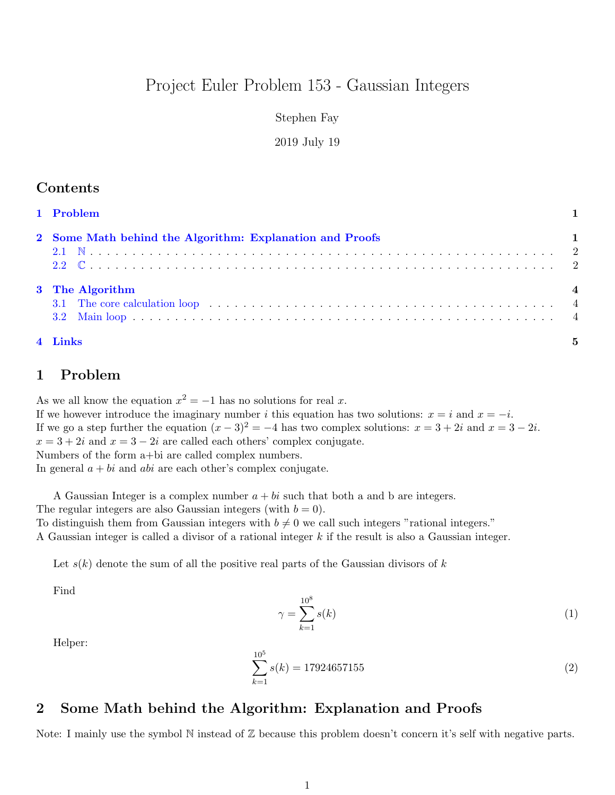# Project Euler Problem 153 - Gaussian Integers

## Stephen Fay

### 2019 July 19

| 4 Links                                                  | $\mathbf{5}$            |
|----------------------------------------------------------|-------------------------|
|                                                          |                         |
| 3 The Algorithm                                          | $\overline{\mathbf{4}}$ |
| 2 Some Math behind the Algorithm: Explanation and Proofs |                         |
| 1 Problem                                                |                         |

## <span id="page-0-0"></span>1 Problem

As we all know the equation  $x^2 = -1$  has no solutions for real x. If we however introduce the imaginary number i this equation has two solutions:  $x = i$  and  $x = -i$ . If we go a step further the equation  $(x-3)^2 = -4$  has two complex solutions:  $x = 3 + 2i$  and  $x = 3 - 2i$ .  $x = 3 + 2i$  and  $x = 3 - 2i$  are called each others' complex conjugate. Numbers of the form a+bi are called complex numbers. In general  $a + bi$  and abi are each other's complex conjugate.

A Gaussian Integer is a complex number  $a + bi$  such that both a and b are integers. The regular integers are also Gaussian integers (with  $b = 0$ ). To distinguish them from Gaussian integers with  $b \neq 0$  we call such integers "rational integers." A Gaussian integer is called a divisor of a rational integer k if the result is also a Gaussian integer.

Let  $s(k)$  denote the sum of all the positive real parts of the Gaussian divisors of k

Find

$$
\gamma = \sum_{k=1}^{10^8} s(k) \tag{1}
$$

Helper:

$$
\sum_{k=1}^{10^5} s(k) = 17924657155\tag{2}
$$

## <span id="page-0-1"></span>2 Some Math behind the Algorithm: Explanation and Proofs

Note: I mainly use the symbol N instead of  $\mathbb Z$  because this problem doesn't concern it's self with negative parts.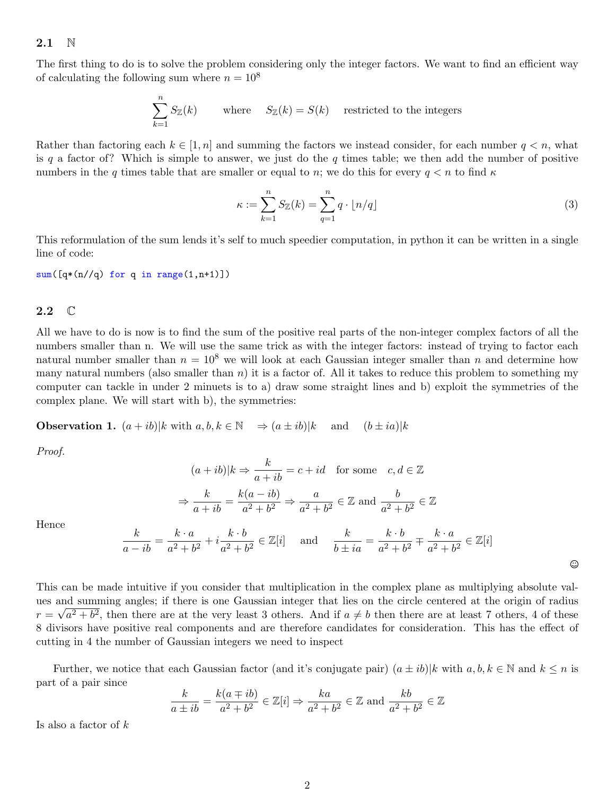#### <span id="page-1-0"></span>2.1 N

The first thing to do is to solve the problem considering only the integer factors. We want to find an efficient way of calculating the following sum where  $n = 10^8$ 

$$
\sum_{k=1}^{n} S_{\mathbb{Z}}(k) \qquad \text{where} \quad S_{\mathbb{Z}}(k) = S(k) \quad \text{restricted to the integers}
$$

Rather than factoring each  $k \in [1, n]$  and summing the factors we instead consider, for each number  $q < n$ , what is q a factor of? Which is simple to answer, we just do the q times table; we then add the number of positive numbers in the q times table that are smaller or equal to n; we do this for every  $q < n$  to find  $\kappa$ 

$$
\kappa := \sum_{k=1}^{n} S_{\mathbb{Z}}(k) = \sum_{q=1}^{n} q \cdot \lfloor n/q \rfloor \tag{3}
$$

This reformulation of the sum lends it's self to much speedier computation, in python it can be written in a single line of code:

 $sum([q*(n//q) for q in range(1,n+1)])$ 

### <span id="page-1-1"></span> $2.2 \quad \mathbb{C}$

All we have to do is now is to find the sum of the positive real parts of the non-integer complex factors of all the numbers smaller than n. We will use the same trick as with the integer factors: instead of trying to factor each natural number smaller than  $n = 10^8$  we will look at each Gaussian integer smaller than n and determine how many natural numbers (also smaller than  $n$ ) it is a factor of. All it takes to reduce this problem to something my computer can tackle in under 2 minuets is to a) draw some straight lines and b) exploit the symmetries of the complex plane. We will start with b), the symmetries:

**Observation 1.**  $(a + ib)|k$  with  $a, b, k \in \mathbb{N} \implies (a \pm ib)|k$  and  $(b \pm ia)|k$ 

Proof.

$$
(a+ib)|k \Rightarrow \frac{k}{a+ib} = c+id \quad \text{for some} \quad c, d \in \mathbb{Z}
$$
\n
$$
\Rightarrow \frac{k}{a+ib} = \frac{k(a-ib)}{a^2+b^2} \Rightarrow \frac{a}{a^2+b^2} \in \mathbb{Z} \text{ and } \frac{b}{a^2+b^2} \in \mathbb{Z}
$$
\n
$$
\frac{k}{a-ib} = \frac{k \cdot a}{a^2+b^2} + i\frac{k \cdot b}{a^2+b^2} \in \mathbb{Z}[i] \quad \text{and} \quad \frac{k}{b\pm ia} = \frac{k \cdot b}{a^2+b^2} \mp \frac{k \cdot a}{a^2+b^2} \in \mathbb{Z}[i]
$$

 $\odot$ 

Hence

This can be made intuitive if you consider that multiplication in the complex plane as multiplying absolute values and summing angles; if there is one Gaussian integer that lies on the circle centered at the origin of radius  $r = \sqrt{a^2 + b^2}$ , then there are at the very least 3 others. And if  $a \neq b$  then there are at least 7 others, 4 of these 8 divisors have positive real components and are therefore candidates for consideration. This has the effect of cutting in 4 the number of Gaussian integers we need to inspect

Further, we notice that each Gaussian factor (and it's conjugate pair)  $(a \pm ib)|k$  with  $a, b, k \in \mathbb{N}$  and  $k \leq n$  is part of a pair since

$$
\frac{k}{a \pm ib} = \frac{k(a \mp ib)}{a^2 + b^2} \in \mathbb{Z}[i] \Rightarrow \frac{ka}{a^2 + b^2} \in \mathbb{Z} \text{ and } \frac{kb}{a^2 + b^2} \in \mathbb{Z}
$$

Is also a factor of  $k$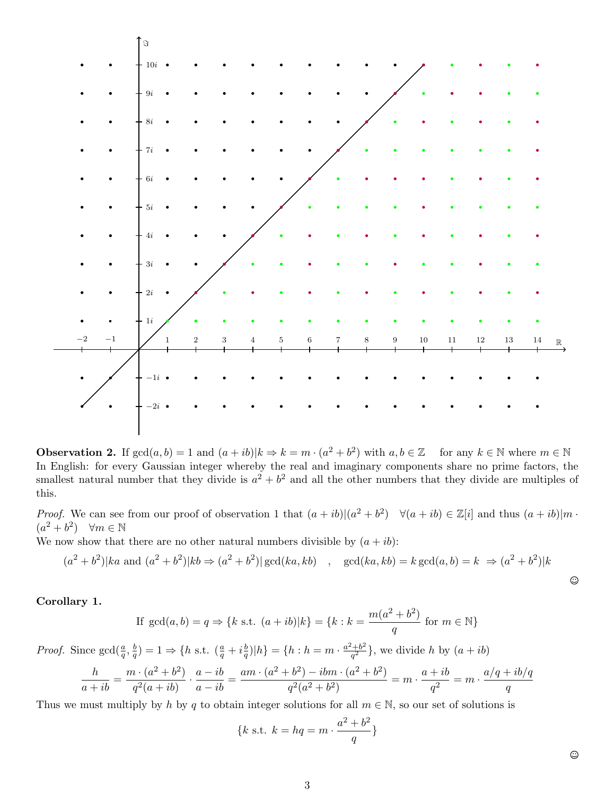

**Observation 2.** If  $gcd(a, b) = 1$  and  $(a + ib)|k \Rightarrow k = m \cdot (a^2 + b^2)$  with  $a, b \in \mathbb{Z}$  for any  $k \in \mathbb{N}$  where  $m \in \mathbb{N}$ In English: for every Gaussian integer whereby the real and imaginary components share no prime factors, the smallest natural number that they divide is  $a^2 + b^2$  and all the other numbers that they divide are multiples of this.

*Proof.* We can see from our proof of observation 1 that  $(a + ib)|(a^2 + b^2)$   $\forall (a + ib) \in \mathbb{Z}[i]$  and thus  $(a + ib)|m$ .  $(a^2 + b^2)$   $\forall m \in \mathbb{N}$ 

We now show that there are no other natural numbers divisible by  $(a + ib)$ :

$$
a^2 + b^2
$$
 |ka and  $(a^2 + b^2)$  |kb  $\Rightarrow$   $(a^2 + b^2)$  | gcd(*ka*, *kb*) , gcd(*ka*, *kb*) = *k* gcd(*a*, *b*) = *k*  $\Rightarrow$   $(a^2 + b^2)$  |*k*

Corollary 1.

 $\overline{a}$ 

If 
$$
gcd(a, b) = q \Rightarrow \{k \text{ s.t. } (a + ib)|k\} = \{k : k = \frac{m(a^2 + b^2)}{q} \text{ for } m \in \mathbb{N}\}\
$$

*Proof.* Since  $gcd(\frac{a}{q}, \frac{b}{q})$  $(\frac{b}{q}) = 1 \Rightarrow \{h \text{ s.t. } (\frac{a}{q} + i\frac{b}{q})\}$  $(\frac{b}{q})|h\rangle = \{h : h = m \cdot \frac{a^2 + b^2}{q^2}\}$  $\left(\frac{a+b^2}{q^2}\right)$ , we divide h by  $(a+ib)$ 

$$
\frac{h}{a+ib} = \frac{m \cdot (a^2 + b^2)}{q^2(a+ib)} \cdot \frac{a-ib}{a-ib} = \frac{am \cdot (a^2 + b^2) - ibm \cdot (a^2 + b^2)}{q^2(a^2 + b^2)} = m \cdot \frac{a+ib}{q^2} = m \cdot \frac{a/q+ib/q}{q}
$$

Thus we must multiply by h by q to obtain integer solutions for all  $m \in \mathbb{N}$ , so our set of solutions is

$$
\{k \text{ s.t. } k = hq = m \cdot \frac{a^2 + b^2}{q} \}
$$

 $\odot$ 

 $\odot$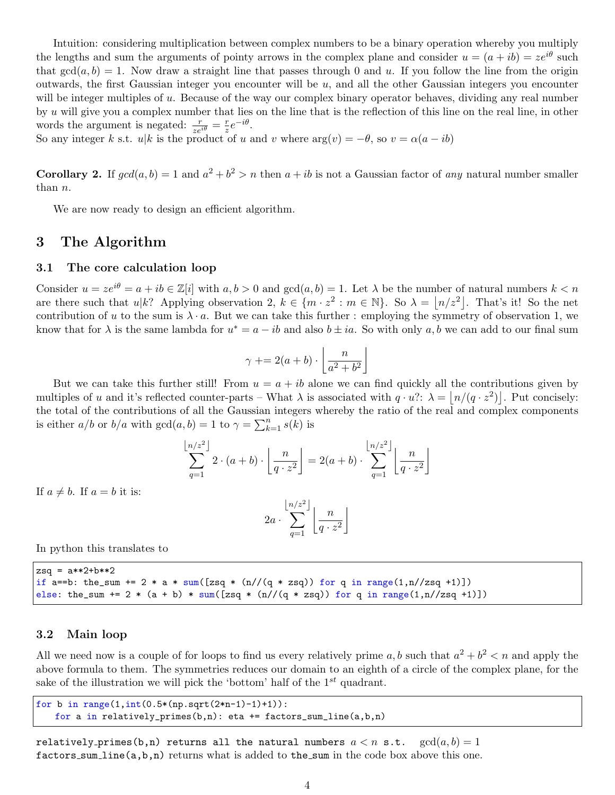Intuition: considering multiplication between complex numbers to be a binary operation whereby you multiply the lengths and sum the arguments of pointy arrows in the complex plane and consider  $u = (a + ib) = ze^{i\theta}$  such that  $gcd(a, b) = 1$ . Now draw a straight line that passes through 0 and u. If you follow the line from the origin outwards, the first Gaussian integer you encounter will be  $u$ , and all the other Gaussian integers you encounter will be integer multiples of u. Because of the way our complex binary operator behaves, dividing any real number by u will give you a complex number that lies on the line that is the reflection of this line on the real line, in other words the argument is negated:  $\frac{r}{ze^{i\theta}} = \frac{r}{z}$  $rac{r}{z}e^{-i\theta}$ .

So any integer k s.t. u|k is the product of u and v where  $arg(v) = -\theta$ , so  $v = \alpha(a - ib)$ 

**Corollary 2.** If  $gcd(a, b) = 1$  and  $a^2 + b^2 > n$  then  $a + ib$  is not a Gaussian factor of any natural number smaller than n.

We are now ready to design an efficient algorithm.

## <span id="page-3-0"></span>3 The Algorithm

#### <span id="page-3-1"></span>3.1 The core calculation loop

Consider  $u = ze^{i\theta} = a + ib \in \mathbb{Z}[i]$  with  $a, b > 0$  and  $gcd(a, b) = 1$ . Let  $\lambda$  be the number of natural numbers  $k < n$ are there such that  $u|k$ ? Applying observation 2,  $k \in \{m \cdot z^2 : m \in \mathbb{N}\}\$ . So  $\lambda = |n/z^2|$ . That's it! So the net contribution of u to the sum is  $\lambda \cdot a$ . But we can take this further : employing the symmetry of observation 1, we know that for  $\lambda$  is the same lambda for  $u^* = a - ib$  and also  $b \pm ia$ . So with only  $a, b$  we can add to our final sum

$$
\gamma \mathrel{+}= 2(a+b) \cdot \left\lfloor \frac{n}{a^2 + b^2} \right\rfloor
$$

But we can take this further still! From  $u = a + ib$  alone we can find quickly all the contributions given by multiples of u and it's reflected counter-parts – What  $\lambda$  is associated with  $q \cdot u$ ?:  $\lambda = |n/(q \cdot z^2)|$ . Put concisely: the total of the contributions of all the Gaussian integers whereby the ratio of the real and complex components is either  $a/b$  or  $b/a$  with  $gcd(a, b) = 1$  to  $\gamma = \sum_{k=1}^{n} s(k)$  is

$$
\sum_{q=1}^{\lfloor n/z^2 \rfloor} 2 \cdot (a+b) \cdot \left\lfloor \frac{n}{q \cdot z^2} \right\rfloor = 2(a+b) \cdot \sum_{q=1}^{\lfloor n/z^2 \rfloor} \left\lfloor \frac{n}{q \cdot z^2} \right\rfloor
$$

If  $a \neq b$ . If  $a = b$  it is:

$$
2a \cdot \sum_{q=1}^{\lfloor n/z^2 \rfloor} \left\lfloor \frac{n}{q \cdot z^2} \right\rfloor
$$

In python this translates to

```
zsq = a**2+b**2if a==b: the_sum += 2 * a * sum([zsq * (n)/(q * zsq)) for q in range(1, n/zsq +1)])
else: the_sum += 2 * (a + b) * sum([zsq * (n)/(q * zsq)) for q in range(1, n//zsq +1)])
```
### <span id="page-3-2"></span>3.2 Main loop

All we need now is a couple of for loops to find us every relatively prime  $a, b$  such that  $a^2 + b^2 < n$  and apply the above formula to them. The symmetries reduces our domain to an eighth of a circle of the complex plane, for the sake of the illustration we will pick the 'bottom' half of the  $1^{st}$  quadrant.

```
for b in range(1, int(0.5*(np.sqrt(2*n-1)-1)+1)):
   for a in relatively_primes(b,n): eta += factors_sum_line(a,b,n)
```
relatively primes(b,n) returns all the natural numbers  $a < n$  s.t.  $gcd(a, b) = 1$ factors\_sum\_line $(a,b,n)$  returns what is added to the\_sum in the code box above this one.